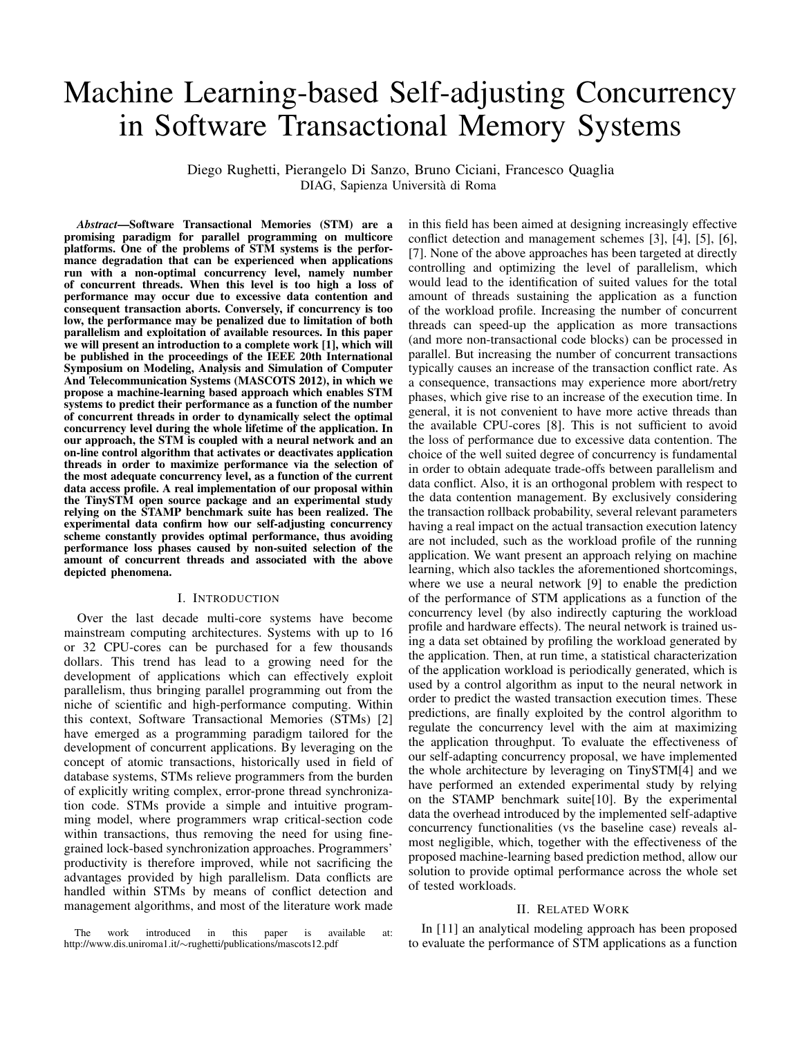# Machine Learning-based Self-adjusting Concurrency in Software Transactional Memory Systems

Diego Rughetti, Pierangelo Di Sanzo, Bruno Ciciani, Francesco Quaglia DIAG, Sapienza Universita di Roma `

*Abstract*—Software Transactional Memories (STM) are a promising paradigm for parallel programming on multicore platforms. One of the problems of STM systems is the performance degradation that can be experienced when applications run with a non-optimal concurrency level, namely number of concurrent threads. When this level is too high a loss of performance may occur due to excessive data contention and consequent transaction aborts. Conversely, if concurrency is too low, the performance may be penalized due to limitation of both parallelism and exploitation of available resources. In this paper we will present an introduction to a complete work [1], which will be published in the proceedings of the IEEE 20th International Symposium on Modeling, Analysis and Simulation of Computer And Telecommunication Systems (MASCOTS 2012), in which we propose a machine-learning based approach which enables STM systems to predict their performance as a function of the number of concurrent threads in order to dynamically select the optimal concurrency level during the whole lifetime of the application. In our approach, the STM is coupled with a neural network and an on-line control algorithm that activates or deactivates application threads in order to maximize performance via the selection of the most adequate concurrency level, as a function of the current data access profile. A real implementation of our proposal within the TinySTM open source package and an experimental study relying on the STAMP benchmark suite has been realized. The experimental data confirm how our self-adjusting concurrency scheme constantly provides optimal performance, thus avoiding performance loss phases caused by non-suited selection of the amount of concurrent threads and associated with the above depicted phenomena.

# I. INTRODUCTION

Over the last decade multi-core systems have become mainstream computing architectures. Systems with up to 16 or 32 CPU-cores can be purchased for a few thousands dollars. This trend has lead to a growing need for the development of applications which can effectively exploit parallelism, thus bringing parallel programming out from the niche of scientific and high-performance computing. Within this context, Software Transactional Memories (STMs) [2] have emerged as a programming paradigm tailored for the development of concurrent applications. By leveraging on the concept of atomic transactions, historically used in field of database systems, STMs relieve programmers from the burden of explicitly writing complex, error-prone thread synchronization code. STMs provide a simple and intuitive programming model, where programmers wrap critical-section code within transactions, thus removing the need for using finegrained lock-based synchronization approaches. Programmers' productivity is therefore improved, while not sacrificing the advantages provided by high parallelism. Data conflicts are handled within STMs by means of conflict detection and management algorithms, and most of the literature work made

in this field has been aimed at designing increasingly effective conflict detection and management schemes [3], [4], [5], [6], [7]. None of the above approaches has been targeted at directly controlling and optimizing the level of parallelism, which would lead to the identification of suited values for the total amount of threads sustaining the application as a function of the workload profile. Increasing the number of concurrent threads can speed-up the application as more transactions (and more non-transactional code blocks) can be processed in parallel. But increasing the number of concurrent transactions typically causes an increase of the transaction conflict rate. As a consequence, transactions may experience more abort/retry phases, which give rise to an increase of the execution time. In general, it is not convenient to have more active threads than the available CPU-cores [8]. This is not sufficient to avoid the loss of performance due to excessive data contention. The choice of the well suited degree of concurrency is fundamental in order to obtain adequate trade-offs between parallelism and data conflict. Also, it is an orthogonal problem with respect to the data contention management. By exclusively considering the transaction rollback probability, several relevant parameters having a real impact on the actual transaction execution latency are not included, such as the workload profile of the running application. We want present an approach relying on machine learning, which also tackles the aforementioned shortcomings, where we use a neural network [9] to enable the prediction of the performance of STM applications as a function of the concurrency level (by also indirectly capturing the workload profile and hardware effects). The neural network is trained using a data set obtained by profiling the workload generated by the application. Then, at run time, a statistical characterization of the application workload is periodically generated, which is used by a control algorithm as input to the neural network in order to predict the wasted transaction execution times. These predictions, are finally exploited by the control algorithm to regulate the concurrency level with the aim at maximizing the application throughput. To evaluate the effectiveness of our self-adapting concurrency proposal, we have implemented the whole architecture by leveraging on TinySTM[4] and we have performed an extended experimental study by relying on the STAMP benchmark suite[10]. By the experimental data the overhead introduced by the implemented self-adaptive concurrency functionalities (vs the baseline case) reveals almost negligible, which, together with the effectiveness of the proposed machine-learning based prediction method, allow our solution to provide optimal performance across the whole set of tested workloads.

### II. RELATED WORK

In [11] an analytical modeling approach has been proposed to evaluate the performance of STM applications as a function

The work introduced in this paper is available at: http://www.dis.uniroma1.it/∼rughetti/publications/mascots12.pdf